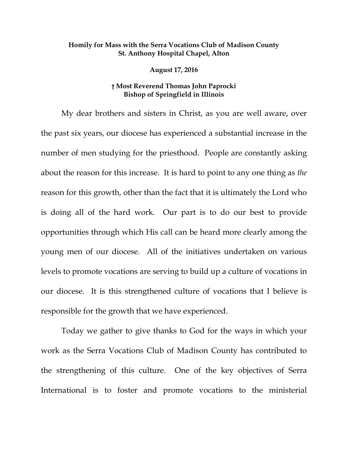## **Homily for Mass with the Serra Vocations Club of Madison County St. Anthony Hospital Chapel, Alton**

**August 17, 2016**

## **† Most Reverend Thomas John Paprocki Bishop of Springfield in Illinois**

My dear brothers and sisters in Christ, as you are well aware, over the past six years, our diocese has experienced a substantial increase in the number of men studying for the priesthood. People are constantly asking about the reason for this increase. It is hard to point to any one thing as *the* reason for this growth, other than the fact that it is ultimately the Lord who is doing all of the hard work. Our part is to do our best to provide opportunities through which His call can be heard more clearly among the young men of our diocese. All of the initiatives undertaken on various levels to promote vocations are serving to build up a culture of vocations in our diocese. It is this strengthened culture of vocations that I believe is responsible for the growth that we have experienced.

Today we gather to give thanks to God for the ways in which your work as the Serra Vocations Club of Madison County has contributed to the strengthening of this culture. One of the key objectives of Serra International is to foster and promote vocations to the ministerial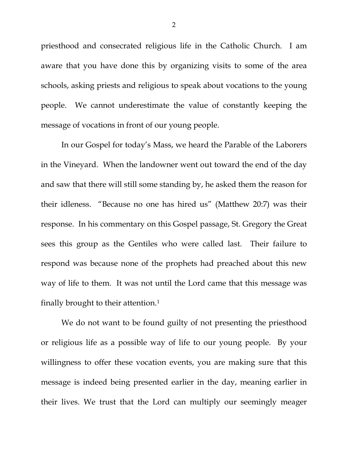priesthood and consecrated religious life in the Catholic Church. I am aware that you have done this by organizing visits to some of the area schools, asking priests and religious to speak about vocations to the young people. We cannot underestimate the value of constantly keeping the message of vocations in front of our young people.

In our Gospel for today's Mass, we heard the Parable of the Laborers in the Vineyard. When the landowner went out toward the end of the day and saw that there will still some standing by, he asked them the reason for their idleness. "Because no one has hired us" (Matthew 20:7) was their response. In his commentary on this Gospel passage, St. Gregory the Great sees this group as the Gentiles who were called last. Their failure to respond was because none of the prophets had preached about this new way of life to them. It was not until the Lord came that this message was finally brought to their attention[.1](#page-1-0)

<span id="page-1-0"></span>We do not want to be found guilty of not presenting the priesthood or religious life as a possible way of life to our young people. By your willingness to offer these vocation events, you are making sure that this message is indeed being presented earlier in the day, meaning earlier in their lives. We trust that the Lord can multiply our seemingly meager

2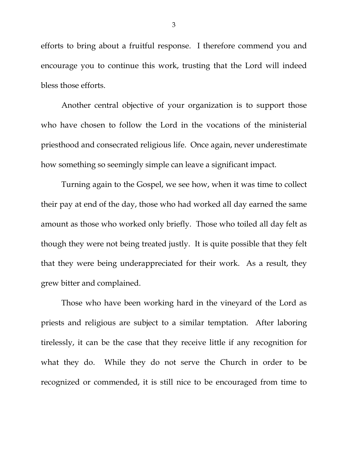efforts to bring about a fruitful response. I therefore commend you and encourage you to continue this work, trusting that the Lord will indeed bless those efforts.

Another central objective of your organization is to support those who have chosen to follow the Lord in the vocations of the ministerial priesthood and consecrated religious life. Once again, never underestimate how something so seemingly simple can leave a significant impact.

Turning again to the Gospel, we see how, when it was time to collect their pay at end of the day, those who had worked all day earned the same amount as those who worked only briefly. Those who toiled all day felt as though they were not being treated justly. It is quite possible that they felt that they were being underappreciated for their work. As a result, they grew bitter and complained.

Those who have been working hard in the vineyard of the Lord as priests and religious are subject to a similar temptation. After laboring tirelessly, it can be the case that they receive little if any recognition for what they do. While they do not serve the Church in order to be recognized or commended, it is still nice to be encouraged from time to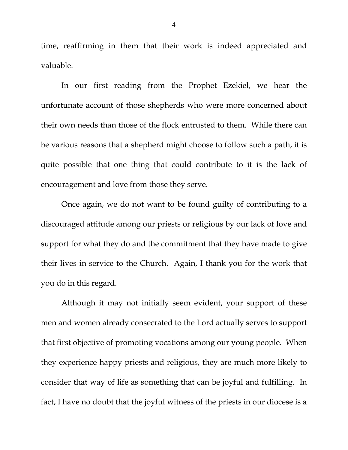time, reaffirming in them that their work is indeed appreciated and valuable.

In our first reading from the Prophet Ezekiel, we hear the unfortunate account of those shepherds who were more concerned about their own needs than those of the flock entrusted to them. While there can be various reasons that a shepherd might choose to follow such a path, it is quite possible that one thing that could contribute to it is the lack of encouragement and love from those they serve.

Once again, we do not want to be found guilty of contributing to a discouraged attitude among our priests or religious by our lack of love and support for what they do and the commitment that they have made to give their lives in service to the Church. Again, I thank you for the work that you do in this regard.

Although it may not initially seem evident, your support of these men and women already consecrated to the Lord actually serves to support that first objective of promoting vocations among our young people. When they experience happy priests and religious, they are much more likely to consider that way of life as something that can be joyful and fulfilling. In fact, I have no doubt that the joyful witness of the priests in our diocese is a